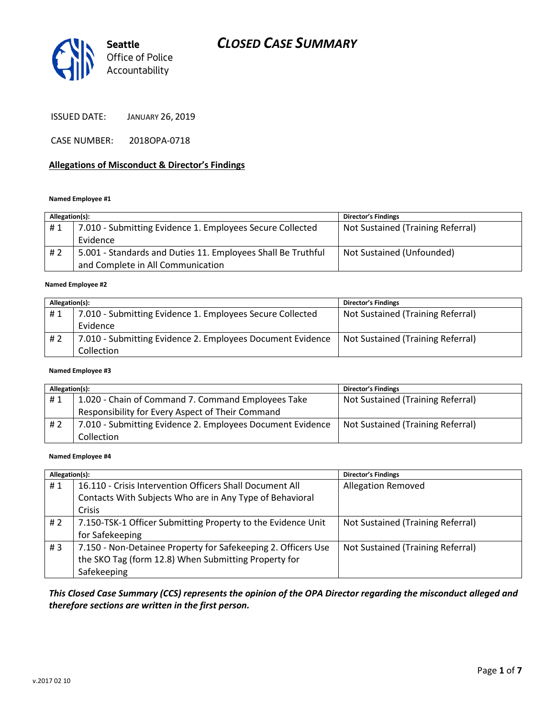

ISSUED DATE: JANUARY 26, 2019

CASE NUMBER: 2018OPA-0718

#### **Allegations of Misconduct & Director's Findings**

#### **Named Employee #1**

| Allegation(s): |                                                              | <b>Director's Findings</b>        |
|----------------|--------------------------------------------------------------|-----------------------------------|
| #1             | 7.010 - Submitting Evidence 1. Employees Secure Collected    | Not Sustained (Training Referral) |
|                | Evidence                                                     |                                   |
| #2             | 5.001 - Standards and Duties 11. Employees Shall Be Truthful | Not Sustained (Unfounded)         |
|                | and Complete in All Communication                            |                                   |

#### ؚ<br>ا **Named Employee #2**

| Allegation(s): |                                                            | <b>Director's Findings</b>        |
|----------------|------------------------------------------------------------|-----------------------------------|
| #1             | 7.010 - Submitting Evidence 1. Employees Secure Collected  | Not Sustained (Training Referral) |
|                | Evidence                                                   |                                   |
| #2             | 7.010 - Submitting Evidence 2. Employees Document Evidence | Not Sustained (Training Referral) |
|                | Collection                                                 |                                   |

#### **Named Employee #3**

| Allegation(s): |                                                            | <b>Director's Findings</b>        |
|----------------|------------------------------------------------------------|-----------------------------------|
| #1             | 1.020 - Chain of Command 7. Command Employees Take         | Not Sustained (Training Referral) |
|                | Responsibility for Every Aspect of Their Command           |                                   |
| #2             | 7.010 - Submitting Evidence 2. Employees Document Evidence | Not Sustained (Training Referral) |
|                | Collection                                                 |                                   |

#### **Named Employee #4**

| Allegation(s): |                                                               | <b>Director's Findings</b>        |
|----------------|---------------------------------------------------------------|-----------------------------------|
| #1             | 16.110 - Crisis Intervention Officers Shall Document All      | <b>Allegation Removed</b>         |
|                | Contacts With Subjects Who are in Any Type of Behavioral      |                                   |
|                | Crisis                                                        |                                   |
| #2             | 7.150-TSK-1 Officer Submitting Property to the Evidence Unit  | Not Sustained (Training Referral) |
|                | for Safekeeping                                               |                                   |
| # $3$          | 7.150 - Non-Detainee Property for Safekeeping 2. Officers Use | Not Sustained (Training Referral) |
|                | the SKO Tag (form 12.8) When Submitting Property for          |                                   |
|                | Safekeeping                                                   |                                   |

### *This Closed Case Summary (CCS) represents the opinion of the OPA Director regarding the misconduct alleged and therefore sections are written in the first person.*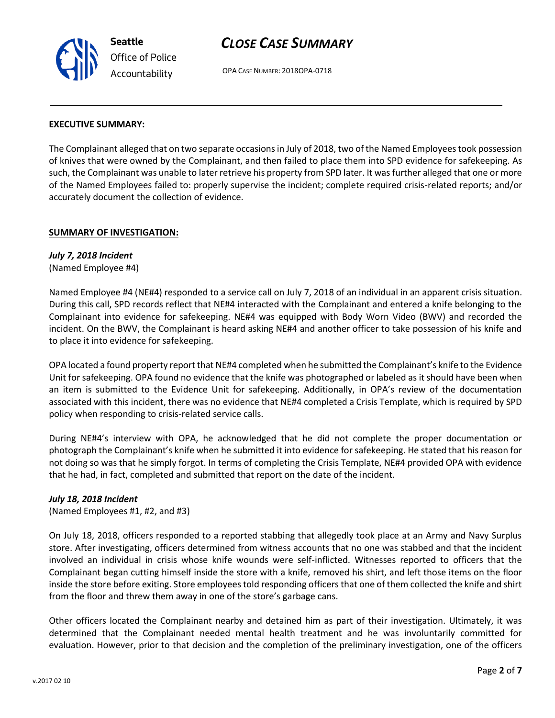

OPA CASE NUMBER: 2018OPA-0718

#### **EXECUTIVE SUMMARY:**

The Complainant alleged that on two separate occasions in July of 2018, two of the Named Employees took possession of knives that were owned by the Complainant, and then failed to place them into SPD evidence for safekeeping. As such, the Complainant was unable to later retrieve his property from SPD later. It was further alleged that one or more of the Named Employees failed to: properly supervise the incident; complete required crisis-related reports; and/or accurately document the collection of evidence.

#### **SUMMARY OF INVESTIGATION:**

#### *July 7, 2018 Incident*

(Named Employee #4)

Named Employee #4 (NE#4) responded to a service call on July 7, 2018 of an individual in an apparent crisis situation. During this call, SPD records reflect that NE#4 interacted with the Complainant and entered a knife belonging to the Complainant into evidence for safekeeping. NE#4 was equipped with Body Worn Video (BWV) and recorded the incident. On the BWV, the Complainant is heard asking NE#4 and another officer to take possession of his knife and to place it into evidence for safekeeping.

OPA located a found property report that NE#4 completed when he submitted the Complainant's knife to the Evidence Unit for safekeeping. OPA found no evidence that the knife was photographed or labeled as it should have been when an item is submitted to the Evidence Unit for safekeeping. Additionally, in OPA's review of the documentation associated with this incident, there was no evidence that NE#4 completed a Crisis Template, which is required by SPD policy when responding to crisis-related service calls.

During NE#4's interview with OPA, he acknowledged that he did not complete the proper documentation or photograph the Complainant's knife when he submitted it into evidence for safekeeping. He stated that his reason for not doing so was that he simply forgot. In terms of completing the Crisis Template, NE#4 provided OPA with evidence that he had, in fact, completed and submitted that report on the date of the incident.

#### *July 18, 2018 Incident*

(Named Employees #1, #2, and #3)

On July 18, 2018, officers responded to a reported stabbing that allegedly took place at an Army and Navy Surplus store. After investigating, officers determined from witness accounts that no one was stabbed and that the incident involved an individual in crisis whose knife wounds were self-inflicted. Witnesses reported to officers that the Complainant began cutting himself inside the store with a knife, removed his shirt, and left those items on the floor inside the store before exiting. Store employees told responding officers that one of them collected the knife and shirt from the floor and threw them away in one of the store's garbage cans.

Other officers located the Complainant nearby and detained him as part of their investigation. Ultimately, it was determined that the Complainant needed mental health treatment and he was involuntarily committed for evaluation. However, prior to that decision and the completion of the preliminary investigation, one of the officers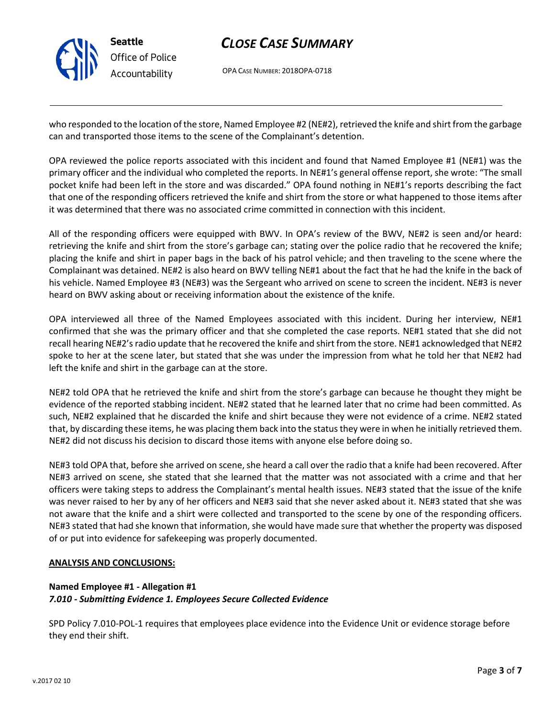

OPA CASE NUMBER: 2018OPA-0718

who responded to the location of the store, Named Employee #2 (NE#2), retrieved the knife and shirt from the garbage can and transported those items to the scene of the Complainant's detention.

OPA reviewed the police reports associated with this incident and found that Named Employee #1 (NE#1) was the primary officer and the individual who completed the reports. In NE#1's general offense report, she wrote: "The small pocket knife had been left in the store and was discarded." OPA found nothing in NE#1's reports describing the fact that one of the responding officers retrieved the knife and shirt from the store or what happened to those items after it was determined that there was no associated crime committed in connection with this incident.

All of the responding officers were equipped with BWV. In OPA's review of the BWV, NE#2 is seen and/or heard: retrieving the knife and shirt from the store's garbage can; stating over the police radio that he recovered the knife; placing the knife and shirt in paper bags in the back of his patrol vehicle; and then traveling to the scene where the Complainant was detained. NE#2 is also heard on BWV telling NE#1 about the fact that he had the knife in the back of his vehicle. Named Employee #3 (NE#3) was the Sergeant who arrived on scene to screen the incident. NE#3 is never heard on BWV asking about or receiving information about the existence of the knife.

OPA interviewed all three of the Named Employees associated with this incident. During her interview, NE#1 confirmed that she was the primary officer and that she completed the case reports. NE#1 stated that she did not recall hearing NE#2's radio update that he recovered the knife and shirt from the store. NE#1 acknowledged that NE#2 spoke to her at the scene later, but stated that she was under the impression from what he told her that NE#2 had left the knife and shirt in the garbage can at the store.

NE#2 told OPA that he retrieved the knife and shirt from the store's garbage can because he thought they might be evidence of the reported stabbing incident. NE#2 stated that he learned later that no crime had been committed. As such, NE#2 explained that he discarded the knife and shirt because they were not evidence of a crime. NE#2 stated that, by discarding these items, he was placing them back into the status they were in when he initially retrieved them. NE#2 did not discuss his decision to discard those items with anyone else before doing so.

NE#3 told OPA that, before she arrived on scene, she heard a call over the radio that a knife had been recovered. After NE#3 arrived on scene, she stated that she learned that the matter was not associated with a crime and that her officers were taking steps to address the Complainant's mental health issues. NE#3 stated that the issue of the knife was never raised to her by any of her officers and NE#3 said that she never asked about it. NE#3 stated that she was not aware that the knife and a shirt were collected and transported to the scene by one of the responding officers. NE#3 stated that had she known that information, she would have made sure that whether the property was disposed of or put into evidence for safekeeping was properly documented.

#### **ANALYSIS AND CONCLUSIONS:**

#### **Named Employee #1 - Allegation #1** *7.010 - Submitting Evidence 1. Employees Secure Collected Evidence*

SPD Policy 7.010-POL-1 requires that employees place evidence into the Evidence Unit or evidence storage before they end their shift.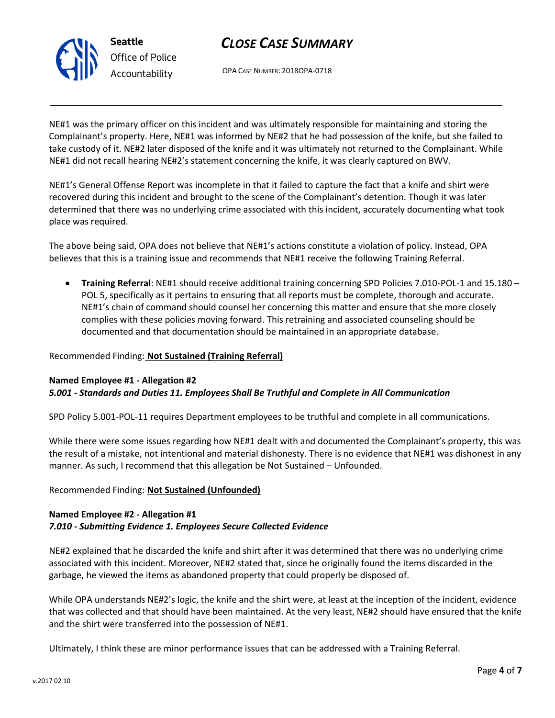

OPA CASE NUMBER: 2018OPA-0718

NE#1 was the primary officer on this incident and was ultimately responsible for maintaining and storing the Complainant's property. Here, NE#1 was informed by NE#2 that he had possession of the knife, but she failed to take custody of it. NE#2 later disposed of the knife and it was ultimately not returned to the Complainant. While NE#1 did not recall hearing NE#2's statement concerning the knife, it was clearly captured on BWV.

NE#1's General Offense Report was incomplete in that it failed to capture the fact that a knife and shirt were recovered during this incident and brought to the scene of the Complainant's detention. Though it was later determined that there was no underlying crime associated with this incident, accurately documenting what took place was required.

The above being said, OPA does not believe that NE#1's actions constitute a violation of policy. Instead, OPA believes that this is a training issue and recommends that NE#1 receive the following Training Referral.

• **Training Referral**: NE#1 should receive additional training concerning SPD Policies 7.010-POL-1 and 15.180 – POL 5, specifically as it pertains to ensuring that all reports must be complete, thorough and accurate. NE#1's chain of command should counsel her concerning this matter and ensure that she more closely complies with these policies moving forward. This retraining and associated counseling should be documented and that documentation should be maintained in an appropriate database.

#### Recommended Finding: **Not Sustained (Training Referral)**

#### **Named Employee #1 - Allegation #2** *5.001 - Standards and Duties 11. Employees Shall Be Truthful and Complete in All Communication*

SPD Policy 5.001-POL-11 requires Department employees to be truthful and complete in all communications.

While there were some issues regarding how NE#1 dealt with and documented the Complainant's property, this was the result of a mistake, not intentional and material dishonesty. There is no evidence that NE#1 was dishonest in any manner. As such, I recommend that this allegation be Not Sustained – Unfounded.

#### Recommended Finding: **Not Sustained (Unfounded)**

### **Named Employee #2 - Allegation #1** *7.010 - Submitting Evidence 1. Employees Secure Collected Evidence*

NE#2 explained that he discarded the knife and shirt after it was determined that there was no underlying crime associated with this incident. Moreover, NE#2 stated that, since he originally found the items discarded in the garbage, he viewed the items as abandoned property that could properly be disposed of.

While OPA understands NE#2's logic, the knife and the shirt were, at least at the inception of the incident, evidence that was collected and that should have been maintained. At the very least, NE#2 should have ensured that the knife and the shirt were transferred into the possession of NE#1.

Ultimately, I think these are minor performance issues that can be addressed with a Training Referral.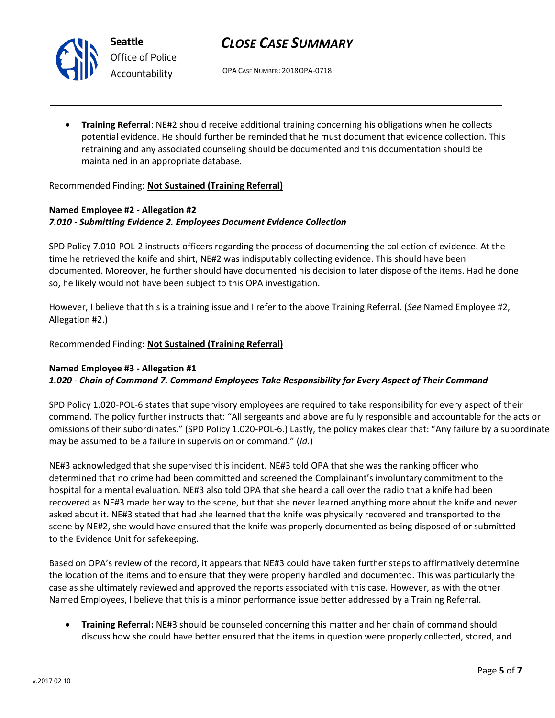

**Seattle** *Office of Police Accountability*

# *CLOSE CASE SUMMARY*

OPA CASE NUMBER: 2018OPA-0718

• **Training Referral**: NE#2 should receive additional training concerning his obligations when he collects potential evidence. He should further be reminded that he must document that evidence collection. This retraining and any associated counseling should be documented and this documentation should be maintained in an appropriate database.

Recommended Finding: **Not Sustained (Training Referral)**

## **Named Employee #2 - Allegation #2** *7.010 - Submitting Evidence 2. Employees Document Evidence Collection*

SPD Policy 7.010-POL-2 instructs officers regarding the process of documenting the collection of evidence. At the time he retrieved the knife and shirt, NE#2 was indisputably collecting evidence. This should have been documented. Moreover, he further should have documented his decision to later dispose of the items. Had he done so, he likely would not have been subject to this OPA investigation.

However, I believe that this is a training issue and I refer to the above Training Referral. (*See* Named Employee #2, Allegation #2.)

Recommended Finding: **Not Sustained (Training Referral)**

### **Named Employee #3 - Allegation #1**

### *1.020 - Chain of Command 7. Command Employees Take Responsibility for Every Aspect of Their Command*

SPD Policy 1.020-POL-6 states that supervisory employees are required to take responsibility for every aspect of their command. The policy further instructs that: "All sergeants and above are fully responsible and accountable for the acts or omissions of their subordinates." (SPD Policy 1.020-POL-6.) Lastly, the policy makes clear that: "Any failure by a subordinate may be assumed to be a failure in supervision or command." (*Id*.)

NE#3 acknowledged that she supervised this incident. NE#3 told OPA that she was the ranking officer who determined that no crime had been committed and screened the Complainant's involuntary commitment to the hospital for a mental evaluation. NE#3 also told OPA that she heard a call over the radio that a knife had been recovered as NE#3 made her way to the scene, but that she never learned anything more about the knife and never asked about it. NE#3 stated that had she learned that the knife was physically recovered and transported to the scene by NE#2, she would have ensured that the knife was properly documented as being disposed of or submitted to the Evidence Unit for safekeeping.

Based on OPA's review of the record, it appears that NE#3 could have taken further steps to affirmatively determine the location of the items and to ensure that they were properly handled and documented. This was particularly the case as she ultimately reviewed and approved the reports associated with this case. However, as with the other Named Employees, I believe that this is a minor performance issue better addressed by a Training Referral.

• **Training Referral:** NE#3 should be counseled concerning this matter and her chain of command should discuss how she could have better ensured that the items in question were properly collected, stored, and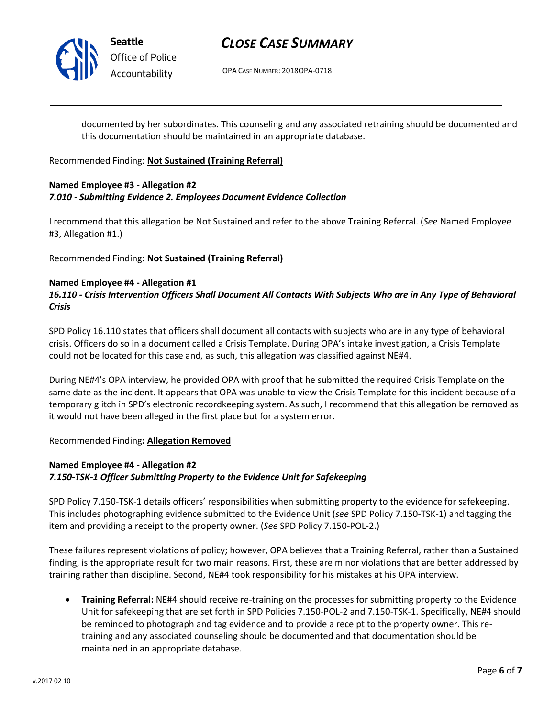

# *Office of Police Accountability*

# *CLOSE CASE SUMMARY*

OPA CASE NUMBER: 2018OPA-0718

documented by her subordinates. This counseling and any associated retraining should be documented and this documentation should be maintained in an appropriate database.

#### Recommended Finding: **Not Sustained (Training Referral)**

#### **Named Employee #3 - Allegation #2** *7.010 - Submitting Evidence 2. Employees Document Evidence Collection*

I recommend that this allegation be Not Sustained and refer to the above Training Referral. (*See* Named Employee #3, Allegation #1.)

Recommended Finding**: Not Sustained (Training Referral)**

#### **Named Employee #4 - Allegation #1**

## *16.110 - Crisis Intervention Officers Shall Document All Contacts With Subjects Who are in Any Type of Behavioral Crisis*

SPD Policy 16.110 states that officers shall document all contacts with subjects who are in any type of behavioral crisis. Officers do so in a document called a Crisis Template. During OPA's intake investigation, a Crisis Template could not be located for this case and, as such, this allegation was classified against NE#4.

During NE#4's OPA interview, he provided OPA with proof that he submitted the required Crisis Template on the same date as the incident. It appears that OPA was unable to view the Crisis Template for this incident because of a temporary glitch in SPD's electronic recordkeeping system. As such, I recommend that this allegation be removed as it would not have been alleged in the first place but for a system error.

#### Recommended Finding**: Allegation Removed**

## **Named Employee #4 - Allegation #2** *7.150-TSK-1 Officer Submitting Property to the Evidence Unit for Safekeeping*

SPD Policy 7.150-TSK-1 details officers' responsibilities when submitting property to the evidence for safekeeping. This includes photographing evidence submitted to the Evidence Unit (*see* SPD Policy 7.150-TSK-1) and tagging the item and providing a receipt to the property owner. (*See* SPD Policy 7.150-POL-2.)

These failures represent violations of policy; however, OPA believes that a Training Referral, rather than a Sustained finding, is the appropriate result for two main reasons. First, these are minor violations that are better addressed by training rather than discipline. Second, NE#4 took responsibility for his mistakes at his OPA interview.

• **Training Referral:** NE#4 should receive re-training on the processes for submitting property to the Evidence Unit for safekeeping that are set forth in SPD Policies 7.150-POL-2 and 7.150-TSK-1. Specifically, NE#4 should be reminded to photograph and tag evidence and to provide a receipt to the property owner. This retraining and any associated counseling should be documented and that documentation should be maintained in an appropriate database.